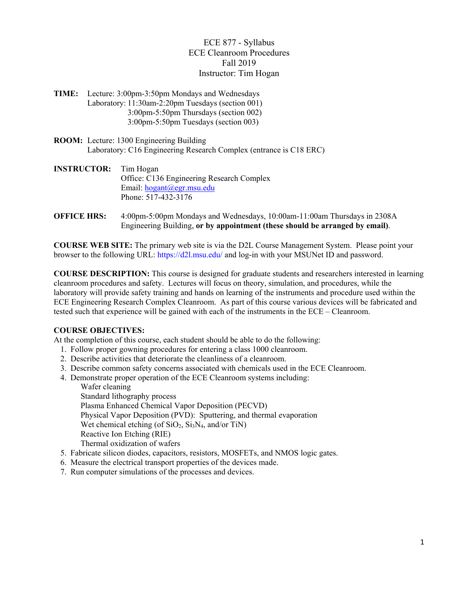ECE 877 - Syllabus ECE Cleanroom Procedures Fall 2019 Instructor: Tim Hogan

- **TIME:** Lecture: 3:00pm-3:50pm Mondays and Wednesdays Laboratory: 11:30am-2:20pm Tuesdays (section 001) 3:00pm-5:50pm Thursdays (section 002) 3:00pm-5:50pm Tuesdays (section 003)
- **ROOM:** Lecture: 1300 Engineering Building Laboratory: C16 Engineering Research Complex (entrance is C18 ERC)
- **INSTRUCTOR:** Tim Hogan Office: C136 Engineering Research Complex Email: hogant@egr.msu.edu Phone: 517-432-3176
- **OFFICE HRS:** 4:00pm-5:00pm Mondays and Wednesdays, 10:00am-11:00am Thursdays in 2308A Engineering Building, **or by appointment (these should be arranged by email)**.

**COURSE WEB SITE:** The primary web site is via the D2L Course Management System. Please point your browser to the following URL: https://d2l.msu.edu/ and log-in with your MSUNet ID and password.

**COURSE DESCRIPTION:** This course is designed for graduate students and researchers interested in learning cleanroom procedures and safety. Lectures will focus on theory, simulation, and procedures, while the laboratory will provide safety training and hands on learning of the instruments and procedure used within the ECE Engineering Research Complex Cleanroom. As part of this course various devices will be fabricated and tested such that experience will be gained with each of the instruments in the ECE – Cleanroom.

# **COURSE OBJECTIVES:**

At the completion of this course, each student should be able to do the following:

- 1. Follow proper gowning procedures for entering a class 1000 cleanroom.
- 2. Describe activities that deteriorate the cleanliness of a cleanroom.
- 3. Describe common safety concerns associated with chemicals used in the ECE Cleanroom.
- 4. Demonstrate proper operation of the ECE Cleanroom systems including:

Wafer cleaning Standard lithography process Plasma Enhanced Chemical Vapor Deposition (PECVD) Physical Vapor Deposition (PVD): Sputtering, and thermal evaporation Wet chemical etching (of  $SiO<sub>2</sub>$ ,  $Si<sub>3</sub>N<sub>4</sub>$ , and/or TiN) Reactive Ion Etching (RIE) Thermal oxidization of wafers

- 5. Fabricate silicon diodes, capacitors, resistors, MOSFETs, and NMOS logic gates.
- 6. Measure the electrical transport properties of the devices made.
- 7. Run computer simulations of the processes and devices.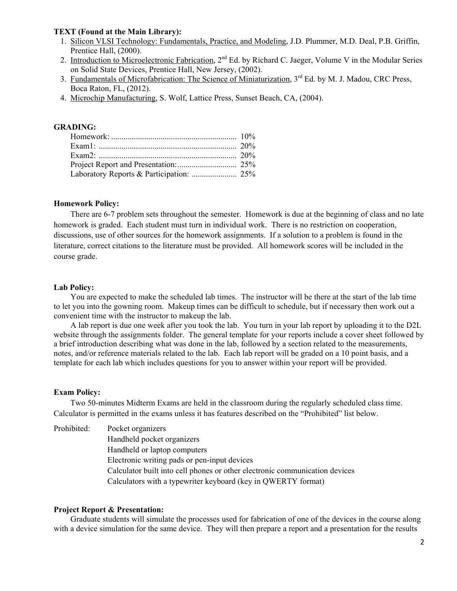### **TEXT (Found at the Main Library):**

- 1. Silicon VLSI Technology: Fundamentals, Practice, and Modeling, J.D. Plummer, M.D. Deal, P.B. Griffin, Prentice Hall, (2000).
- 2. Introduction to Microelectronic Fabrication, 2<sup>nd</sup> Ed. by Richard C. Jaeger, Volume V in the Modular Series on Solid State Devices, Prentice Hall, New Jersey, (2002).
- 3. Fundamentals of Microfabrication: The Science of Miniaturization, 3<sup>rd</sup> Ed. by M. J. Madou, CRC Press, Boca Raton, FL, (2012).
- 4. Microchip Manufacturing, S. Wolf, Lattice Press, Sunset Beach, CA, (2004).

# **GRADING:**

#### **Homework Policy:**

There are 6-7 problem sets throughout the semester. Homework is due at the beginning of class and no late homework is graded. Each student must turn in individual work. There is no restriction on cooperation, discussions, use of other sources for the homework assignments. If a solution to a problem is found in the literature, correct citations to the literature must be provided. All homework scores will be included in the course grade.

### **Lab Policy:**

You are expected to make the scheduled lab times. The instructor will be there at the start of the lab time to let you into the gowning room. Makeup times can be difficult to schedule, but if necessary then work out a convenient time with the instructor to makeup the lab.

A lab report is due one week after you took the lab. You turn in your lab report by uploading it to the D2L website through the assignments folder. The general template for your reports include a cover sheet followed by a brief introduction describing what was done in the lab, followed by a section related to the measurements, notes, and/or reference materials related to the lab. Each lab report will be graded on a 10 point basis, and a template for each lab which includes questions for you to answer within your report will be provided.

#### **Exam Policy:**

Two 50-minutes Midterm Exams are held in the classroom during the regularly scheduled class time. Calculator is permitted in the exams unless it has features described on the "Prohibited" list below.

Prohibited: Pocket organizers Handheld pocket organizers Handheld or laptop computers Electronic writing pads or pen-input devices Calculator built into cell phones or other electronic communication devices Calculators with a typewriter keyboard (key in QWERTY format)

## **Project Report & Presentation:**

Graduate students will simulate the processes used for fabrication of one of the devices in the course along with a device simulation for the same device. They will then prepare a report and a presentation for the results